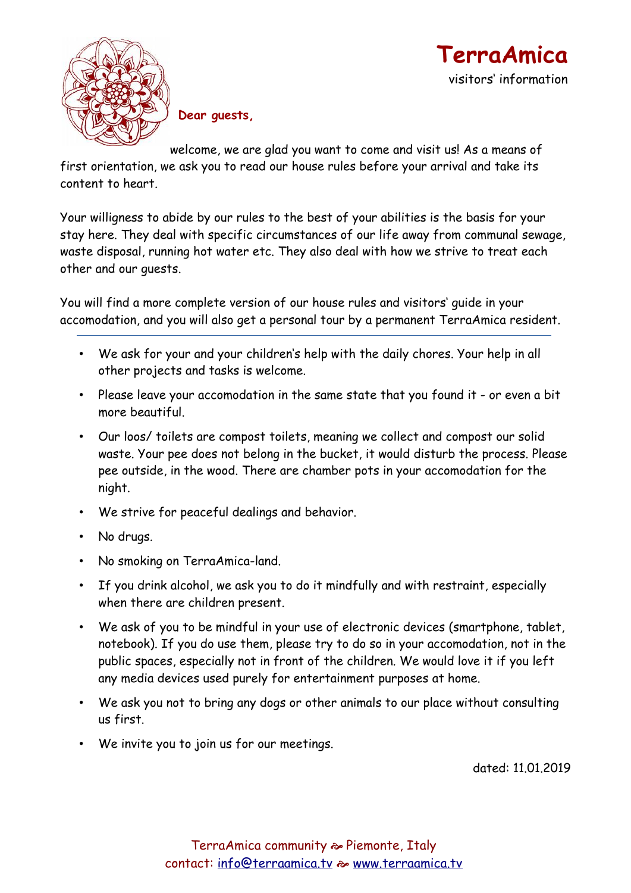



 **Dear guests,**

welcome, we are glad you want to come and visit us! As a means of

first orientation, we ask you to read our house rules before your arrival and take its content to heart.

Your willigness to abide by our rules to the best of your abilities is the basis for your stay here. They deal with specific circumstances of our life away from communal sewage, waste disposal, running hot water etc. They also deal with how we strive to treat each other and our guests.

You will find a more complete version of our house rules and visitors' guide in your accomodation, and you will also get a personal tour by a permanent TerraAmica resident.

- We ask for your and your children's help with the daily chores. Your help in all other projects and tasks is welcome.
- Please leave your accomodation in the same state that you found it or even a bit more beautiful.
- Our loos/ toilets are compost toilets, meaning we collect and compost our solid waste. Your pee does not belong in the bucket, it would disturb the process. Please pee outside, in the wood. There are chamber pots in your accomodation for the night.
- We strive for peaceful dealings and behavior.
- No drugs.
- No smoking on TerraAmica-land.
- If you drink alcohol, we ask you to do it mindfully and with restraint, especially when there are children present.
- We ask of you to be mindful in your use of electronic devices (smartphone, tablet, notebook). If you do use them, please try to do so in your accomodation, not in the public spaces, especially not in front of the children. We would love it if you left any media devices used purely for entertainment purposes at home.
- We ask you not to bring any dogs or other animals to our place without consulting us first.
- We invite you to join us for our meetings.

dated: 11.01.2019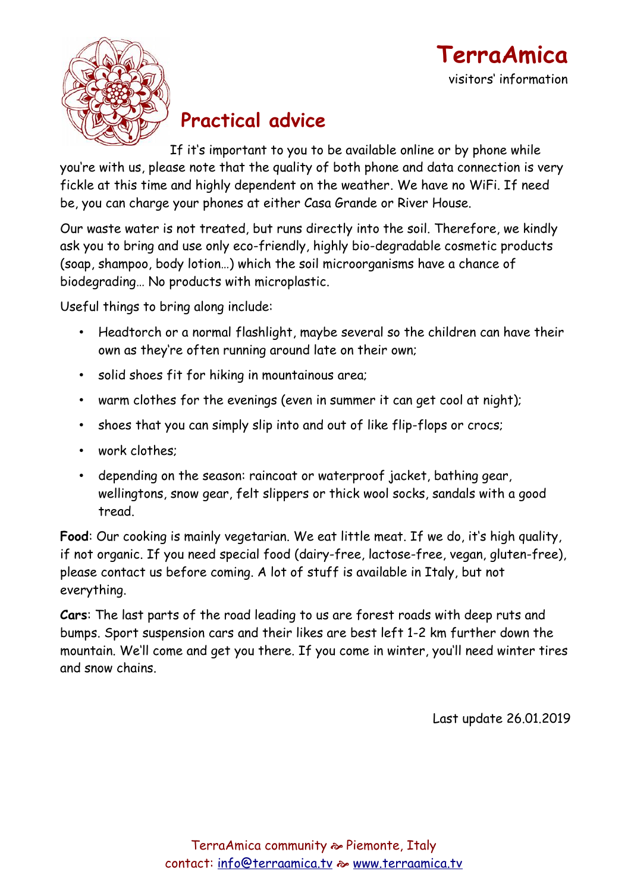



# **Practical advice**

If it's important to you to be available online or by phone while you're with us, please note that the quality of both phone and data connection is very fickle at this time and highly dependent on the weather. We have no WiFi. If need be, you can charge your phones at either Casa Grande or River House.

Our waste water is not treated, but runs directly into the soil. Therefore, we kindly ask you to bring and use only eco-friendly, highly bio-degradable cosmetic products (soap, shampoo, body lotion…) which the soil microorganisms have a chance of biodegrading… No products with microplastic.

Useful things to bring along include:

- Headtorch or a normal flashlight, maybe several so the children can have their own as they're often running around late on their own;
- solid shoes fit for hiking in mountainous area;
- warm clothes for the evenings (even in summer it can get cool at night);
- shoes that you can simply slip into and out of like flip-flops or crocs;
- work clothes;
- depending on the season: raincoat or waterproof jacket, bathing gear, wellingtons, snow gear, felt slippers or thick wool socks, sandals with a good tread.

**Food**: Our cooking is mainly vegetarian. We eat little meat. If we do, it's high quality, if not organic. If you need special food (dairy-free, lactose-free, vegan, gluten-free), please contact us before coming. A lot of stuff is available in Italy, but not everything.

**Cars**: The last parts of the road leading to us are forest roads with deep ruts and bumps. Sport suspension cars and their likes are best left 1-2 km further down the mountain. We'll come and get you there. If you come in winter, you'll need winter tires and snow chains.

Last update 26.01.2019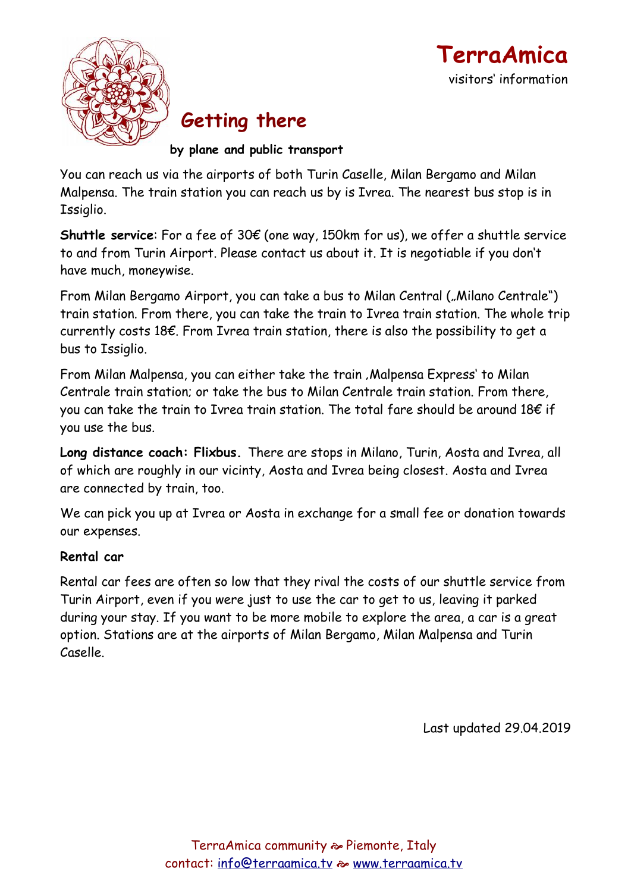



## **Getting there**

**by plane and public transport**

You can reach us via the airports of both Turin Caselle, Milan Bergamo and Milan Malpensa. The train station you can reach us by is Ivrea. The nearest bus stop is in Issiglio.

**Shuttle service**: For a fee of 30€ (one way, 150km for us), we offer a shuttle service to and from Turin Airport. Please contact us about it. It is negotiable if you don't have much, moneywise.

From Milan Bergamo Airport, you can take a bus to Milan Central ("Milano Centrale") train station. From there, you can take the train to Ivrea train station. The whole trip currently costs 18€. From Ivrea train station, there is also the possibility to get a bus to Issiglio.

From Milan Malpensa, you can either take the train, Malpensa Express' to Milan Centrale train station; or take the bus to Milan Centrale train station. From there, you can take the train to Ivrea train station. The total fare should be around 18€ if you use the bus.

**Long distance coach: Flixbus.** There are stops in Milano, Turin, Aosta and Ivrea, all of which are roughly in our vicinty, Aosta and Ivrea being closest. Aosta and Ivrea are connected by train, too.

We can pick you up at Ivrea or Aosta in exchange for a small fee or donation towards our expenses.

#### **Rental car**

Rental car fees are often so low that they rival the costs of our shuttle service from Turin Airport, even if you were just to use the car to get to us, leaving it parked during your stay. If you want to be more mobile to explore the area, a car is a great option. Stations are at the airports of Milan Bergamo, Milan Malpensa and Turin Caselle.

Last updated 29.04.2019